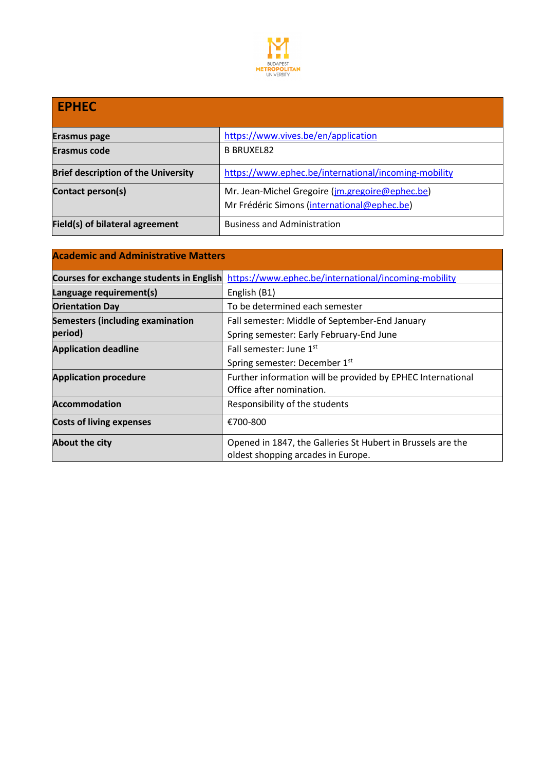

# **EPHEC Erasmus page https://www.vives.be/en/application Erasmus code B BRUXEL82 Brief description of the University** <https://www.ephec.be/international/incoming-mobility> **Contact person(s)** Mr. Jean-Michel Gregoire (*jm.gregoire@ephec.be*) Mr Frédéric Simons ([international@ephec.be\)](mailto:international@ephec.be) **Field(s) of bilateral agreement Business and Administration**

| <b>Academic and Administrative Matters</b> |                                                                                                   |  |  |  |
|--------------------------------------------|---------------------------------------------------------------------------------------------------|--|--|--|
| Courses for exchange students in English   | https://www.ephec.be/international/incoming-mobility                                              |  |  |  |
| Language requirement(s)                    | English (B1)                                                                                      |  |  |  |
| <b>Orientation Day</b>                     | To be determined each semester                                                                    |  |  |  |
| <b>Semesters (including examination</b>    | Fall semester: Middle of September-End January                                                    |  |  |  |
| period)                                    | Spring semester: Early February-End June                                                          |  |  |  |
| <b>Application deadline</b>                | Fall semester: June 1st                                                                           |  |  |  |
|                                            | Spring semester: December 1st                                                                     |  |  |  |
| <b>Application procedure</b>               | Further information will be provided by EPHEC International                                       |  |  |  |
|                                            | Office after nomination.                                                                          |  |  |  |
| <b>Accommodation</b>                       | Responsibility of the students                                                                    |  |  |  |
| <b>Costs of living expenses</b>            | €700-800                                                                                          |  |  |  |
| About the city                             | Opened in 1847, the Galleries St Hubert in Brussels are the<br>oldest shopping arcades in Europe. |  |  |  |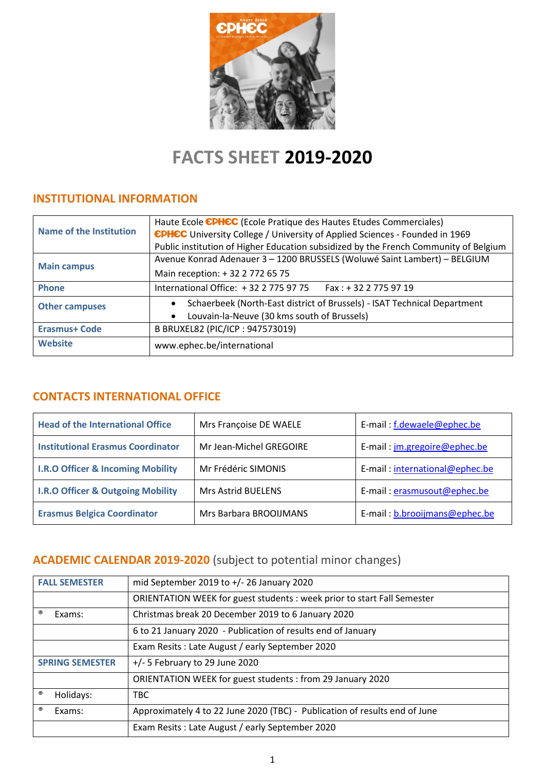

# **FACTS SHEET 2019-2020**

## **INSTITUTIONAL INFORMATION**

|                         | Haute Ecole CPHCC (Ecole Pratique des Hautes Etudes Commerciales)                    |  |  |
|-------------------------|--------------------------------------------------------------------------------------|--|--|
| Name of the Institution | <b>EPHEC</b> University College / University of Applied Sciences - Founded in 1969   |  |  |
|                         | Public institution of Higher Education subsidized by the French Community of Belgium |  |  |
|                         | Avenue Konrad Adenauer 3 - 1200 BRUSSELS (Woluwé Saint Lambert) - BELGIUM            |  |  |
| <b>Main campus</b>      | Main reception: +32 2 772 65 75                                                      |  |  |
| <b>Phone</b>            | International Office: +32 2 775 97 75<br>Fax : + 32 2 775 97 19                      |  |  |
| <b>Other campuses</b>   | Schaerbeek (North-East district of Brussels) - ISAT Technical Department             |  |  |
|                         | Louvain-la-Neuve (30 kms south of Brussels)<br>$\bullet$                             |  |  |
| <b>Erasmus+ Code</b>    | B BRUXEL82 (PIC/ICP: 947573019)                                                      |  |  |
| <b>Website</b>          | www.ephec.be/international                                                           |  |  |

## **CONTACTS INTERNATIONAL OFFICE**

| <b>Head of the International Office</b>      | Mrs Françoise DE WAELE    | E-mail: f.dewaele@ephec.be          |
|----------------------------------------------|---------------------------|-------------------------------------|
| <b>Institutional Erasmus Coordinator</b>     | Mr Jean-Michel GREGOIRE   | E-mail: <i>jm.gregoire@ephec.be</i> |
| <b>I.R.O Officer &amp; Incoming Mobility</b> | Mr Frédéric SIMONIS       | E-mail: international@ephec.be      |
| <b>I.R.O Officer &amp; Outgoing Mobility</b> | <b>Mrs Astrid BUELENS</b> | E-mail: erasmusout@ephec.be         |
| <b>Erasmus Belgica Coordinator</b>           | Mrs Barbara BROOIJMANS    | E-mail: b.brooijmans@ephec.be       |

# **ACADEMIC CALENDAR 2019-2020** (subject to potential minor changes)

| <b>FALL SEMESTER</b>   | mid September 2019 to +/- 26 January 2020                                  |  |
|------------------------|----------------------------------------------------------------------------|--|
|                        | ORIENTATION WEEK for guest students : week prior to start Fall Semester    |  |
| ®<br>Exams:            | Christmas break 20 December 2019 to 6 January 2020                         |  |
|                        | 6 to 21 January 2020 - Publication of results end of January               |  |
|                        | Exam Resits: Late August / early September 2020                            |  |
| <b>SPRING SEMESTER</b> | $+/-$ 5 February to 29 June 2020                                           |  |
|                        | ORIENTATION WEEK for guest students: from 29 January 2020                  |  |
| ®<br>Holidays:         | TBC                                                                        |  |
| ®<br>Exams:            | Approximately 4 to 22 June 2020 (TBC) - Publication of results end of June |  |
|                        | Exam Resits: Late August / early September 2020                            |  |